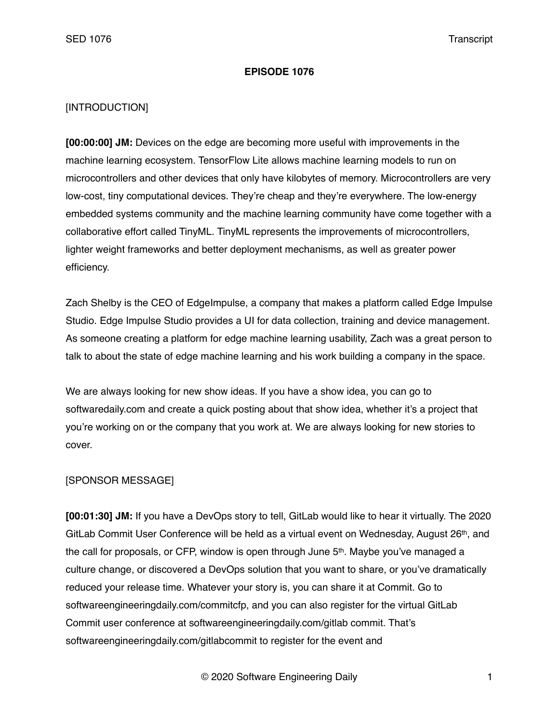### **EPISODE 1076**

## [INTRODUCTION]

**[00:00:00] JM:** Devices on the edge are becoming more useful with improvements in the machine learning ecosystem. TensorFlow Lite allows machine learning models to run on microcontrollers and other devices that only have kilobytes of memory. Microcontrollers are very low-cost, tiny computational devices. They're cheap and they're everywhere. The low-energy embedded systems community and the machine learning community have come together with a collaborative effort called TinyML. TinyML represents the improvements of microcontrollers, lighter weight frameworks and better deployment mechanisms, as well as greater power efficiency.

Zach Shelby is the CEO of EdgeImpulse, a company that makes a platform called Edge Impulse Studio. Edge Impulse Studio provides a UI for data collection, training and device management. As someone creating a platform for edge machine learning usability, Zach was a great person to talk to about the state of edge machine learning and his work building a company in the space.

We are always looking for new show ideas. If you have a show idea, you can go to softwaredaily.com and create a quick posting about that show idea, whether it's a project that you're working on or the company that you work at. We are always looking for new stories to cover.

### [SPONSOR MESSAGE]

**[00:01:30] JM:** If you have a DevOps story to tell, GitLab would like to hear it virtually. The 2020 GitLab Commit User Conference will be held as a virtual event on Wednesday, August 26th, and the call for proposals, or CFP, window is open through June 5<sup>th</sup>. Maybe you've managed a culture change, or discovered a DevOps solution that you want to share, or you've dramatically reduced your release time. Whatever your story is, you can share it at Commit. Go to softwareengineeringdaily.com/commitcfp, and you can also register for the virtual GitLab Commit user conference at softwareengineeringdaily.com/gitlab commit. That's softwareengineeringdaily.com/gitlabcommit to register for the event and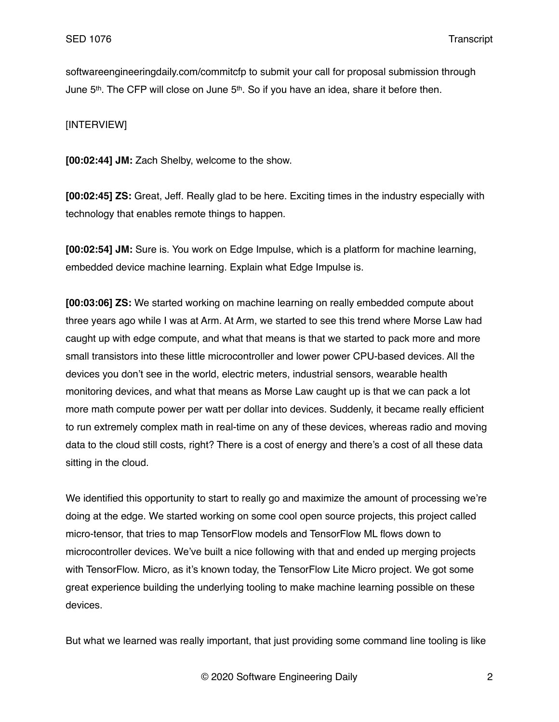softwareengineeringdaily.com/commitcfp to submit your call for proposal submission through June 5<sup>th</sup>. The CFP will close on June 5<sup>th</sup>. So if you have an idea, share it before then.

## [INTERVIEW]

**[00:02:44] JM:** Zach Shelby, welcome to the show.

**[00:02:45] ZS:** Great, Jeff. Really glad to be here. Exciting times in the industry especially with technology that enables remote things to happen.

**[00:02:54] JM:** Sure is. You work on Edge Impulse, which is a platform for machine learning, embedded device machine learning. Explain what Edge Impulse is.

**[00:03:06] ZS:** We started working on machine learning on really embedded compute about three years ago while I was at Arm. At Arm, we started to see this trend where Morse Law had caught up with edge compute, and what that means is that we started to pack more and more small transistors into these little microcontroller and lower power CPU-based devices. All the devices you don't see in the world, electric meters, industrial sensors, wearable health monitoring devices, and what that means as Morse Law caught up is that we can pack a lot more math compute power per watt per dollar into devices. Suddenly, it became really efficient to run extremely complex math in real-time on any of these devices, whereas radio and moving data to the cloud still costs, right? There is a cost of energy and there's a cost of all these data sitting in the cloud.

We identified this opportunity to start to really go and maximize the amount of processing we're doing at the edge. We started working on some cool open source projects, this project called micro-tensor, that tries to map TensorFlow models and TensorFlow ML flows down to microcontroller devices. We've built a nice following with that and ended up merging projects with TensorFlow. Micro, as it's known today, the TensorFlow Lite Micro project. We got some great experience building the underlying tooling to make machine learning possible on these devices.

But what we learned was really important, that just providing some command line tooling is like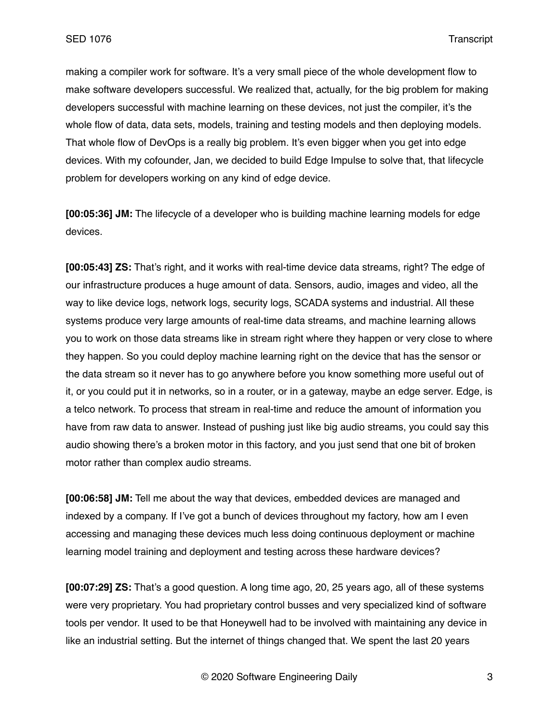making a compiler work for software. It's a very small piece of the whole development flow to make software developers successful. We realized that, actually, for the big problem for making developers successful with machine learning on these devices, not just the compiler, it's the whole flow of data, data sets, models, training and testing models and then deploying models. That whole flow of DevOps is a really big problem. It's even bigger when you get into edge devices. With my cofounder, Jan, we decided to build Edge Impulse to solve that, that lifecycle problem for developers working on any kind of edge device.

**[00:05:36] JM:** The lifecycle of a developer who is building machine learning models for edge devices.

**[00:05:43] ZS:** That's right, and it works with real-time device data streams, right? The edge of our infrastructure produces a huge amount of data. Sensors, audio, images and video, all the way to like device logs, network logs, security logs, SCADA systems and industrial. All these systems produce very large amounts of real-time data streams, and machine learning allows you to work on those data streams like in stream right where they happen or very close to where they happen. So you could deploy machine learning right on the device that has the sensor or the data stream so it never has to go anywhere before you know something more useful out of it, or you could put it in networks, so in a router, or in a gateway, maybe an edge server. Edge, is a telco network. To process that stream in real-time and reduce the amount of information you have from raw data to answer. Instead of pushing just like big audio streams, you could say this audio showing there's a broken motor in this factory, and you just send that one bit of broken motor rather than complex audio streams.

**[00:06:58] JM:** Tell me about the way that devices, embedded devices are managed and indexed by a company. If I've got a bunch of devices throughout my factory, how am I even accessing and managing these devices much less doing continuous deployment or machine learning model training and deployment and testing across these hardware devices?

**[00:07:29] ZS:** That's a good question. A long time ago, 20, 25 years ago, all of these systems were very proprietary. You had proprietary control busses and very specialized kind of software tools per vendor. It used to be that Honeywell had to be involved with maintaining any device in like an industrial setting. But the internet of things changed that. We spent the last 20 years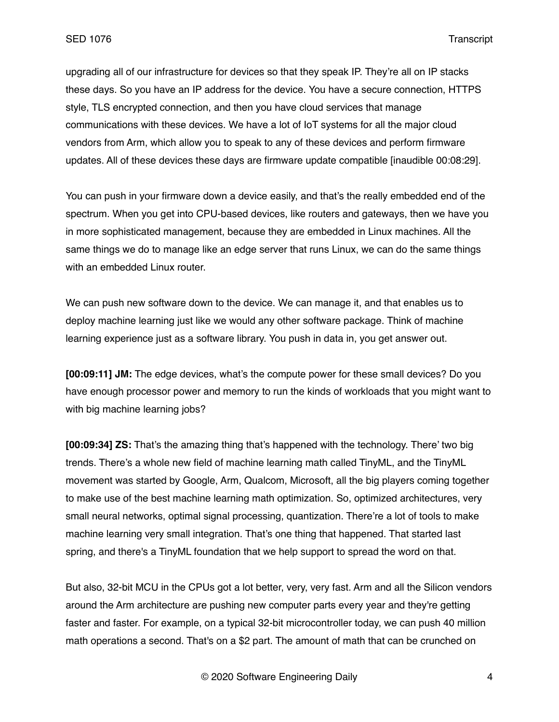upgrading all of our infrastructure for devices so that they speak IP. They're all on IP stacks these days. So you have an IP address for the device. You have a secure connection, HTTPS style, TLS encrypted connection, and then you have cloud services that manage communications with these devices. We have a lot of IoT systems for all the major cloud vendors from Arm, which allow you to speak to any of these devices and perform firmware updates. All of these devices these days are firmware update compatible [inaudible 00:08:29].

You can push in your firmware down a device easily, and that's the really embedded end of the spectrum. When you get into CPU-based devices, like routers and gateways, then we have you in more sophisticated management, because they are embedded in Linux machines. All the same things we do to manage like an edge server that runs Linux, we can do the same things with an embedded Linux router.

We can push new software down to the device. We can manage it, and that enables us to deploy machine learning just like we would any other software package. Think of machine learning experience just as a software library. You push in data in, you get answer out.

**[00:09:11] JM:** The edge devices, what's the compute power for these small devices? Do you have enough processor power and memory to run the kinds of workloads that you might want to with big machine learning jobs?

**[00:09:34] ZS:** That's the amazing thing that's happened with the technology. There' two big trends. There's a whole new field of machine learning math called TinyML, and the TinyML movement was started by Google, Arm, Qualcom, Microsoft, all the big players coming together to make use of the best machine learning math optimization. So, optimized architectures, very small neural networks, optimal signal processing, quantization. There're a lot of tools to make machine learning very small integration. That's one thing that happened. That started last spring, and there's a TinyML foundation that we help support to spread the word on that.

But also, 32-bit MCU in the CPUs got a lot better, very, very fast. Arm and all the Silicon vendors around the Arm architecture are pushing new computer parts every year and they're getting faster and faster. For example, on a typical 32-bit microcontroller today, we can push 40 million math operations a second. That's on a \$2 part. The amount of math that can be crunched on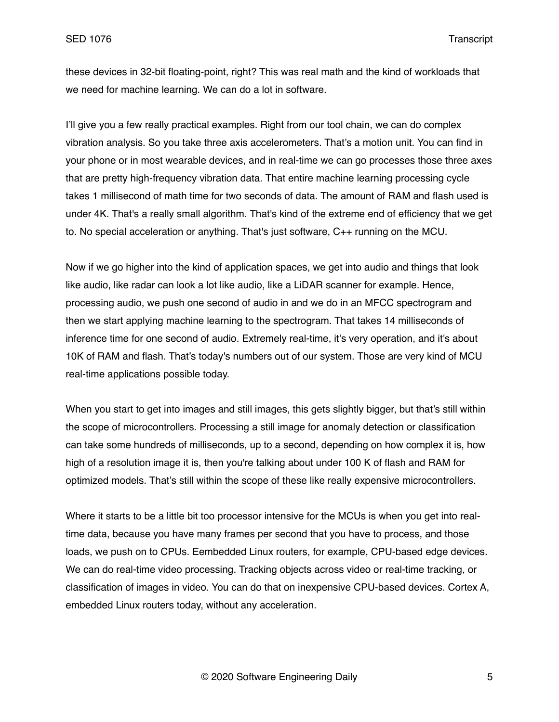these devices in 32-bit floating-point, right? This was real math and the kind of workloads that we need for machine learning. We can do a lot in software.

I'll give you a few really practical examples. Right from our tool chain, we can do complex vibration analysis. So you take three axis accelerometers. That's a motion unit. You can find in your phone or in most wearable devices, and in real-time we can go processes those three axes that are pretty high-frequency vibration data. That entire machine learning processing cycle takes 1 millisecond of math time for two seconds of data. The amount of RAM and flash used is under 4K. That's a really small algorithm. That's kind of the extreme end of efficiency that we get to. No special acceleration or anything. That's just software, C++ running on the MCU.

Now if we go higher into the kind of application spaces, we get into audio and things that look like audio, like radar can look a lot like audio, like a LiDAR scanner for example. Hence, processing audio, we push one second of audio in and we do in an MFCC spectrogram and then we start applying machine learning to the spectrogram. That takes 14 milliseconds of inference time for one second of audio. Extremely real-time, it's very operation, and it's about 10K of RAM and flash. That's today's numbers out of our system. Those are very kind of MCU real-time applications possible today.

When you start to get into images and still images, this gets slightly bigger, but that's still within the scope of microcontrollers. Processing a still image for anomaly detection or classification can take some hundreds of milliseconds, up to a second, depending on how complex it is, how high of a resolution image it is, then you're talking about under 100 K of flash and RAM for optimized models. That's still within the scope of these like really expensive microcontrollers.

Where it starts to be a little bit too processor intensive for the MCUs is when you get into realtime data, because you have many frames per second that you have to process, and those loads, we push on to CPUs. Eembedded Linux routers, for example, CPU-based edge devices. We can do real-time video processing. Tracking objects across video or real-time tracking, or classification of images in video. You can do that on inexpensive CPU-based devices. Cortex A, embedded Linux routers today, without any acceleration.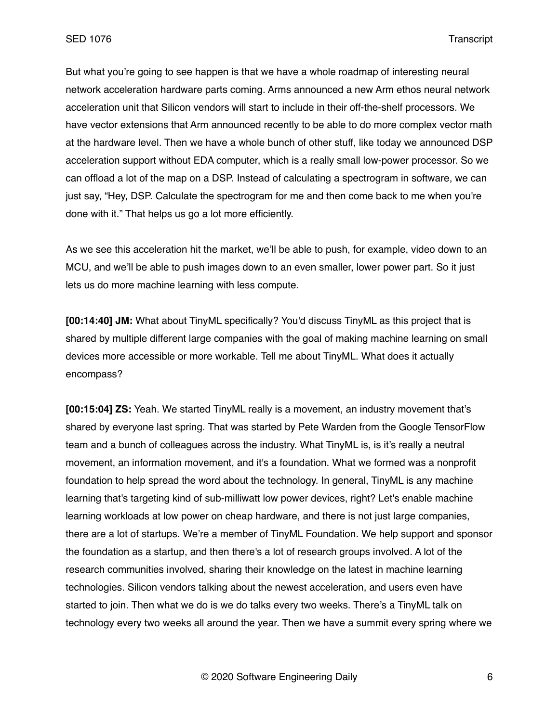But what you're going to see happen is that we have a whole roadmap of interesting neural network acceleration hardware parts coming. Arms announced a new Arm ethos neural network acceleration unit that Silicon vendors will start to include in their off-the-shelf processors. We have vector extensions that Arm announced recently to be able to do more complex vector math at the hardware level. Then we have a whole bunch of other stuff, like today we announced DSP acceleration support without EDA computer, which is a really small low-power processor. So we can offload a lot of the map on a DSP. Instead of calculating a spectrogram in software, we can just say, "Hey, DSP. Calculate the spectrogram for me and then come back to me when you're done with it." That helps us go a lot more efficiently.

As we see this acceleration hit the market, we'll be able to push, for example, video down to an MCU, and we'll be able to push images down to an even smaller, lower power part. So it just lets us do more machine learning with less compute.

**[00:14:40] JM:** What about TinyML specifically? You'd discuss TinyML as this project that is shared by multiple different large companies with the goal of making machine learning on small devices more accessible or more workable. Tell me about TinyML. What does it actually encompass?

**[00:15:04] ZS:** Yeah. We started TinyML really is a movement, an industry movement that's shared by everyone last spring. That was started by Pete Warden from the Google TensorFlow team and a bunch of colleagues across the industry. What TinyML is, is it's really a neutral movement, an information movement, and it's a foundation. What we formed was a nonprofit foundation to help spread the word about the technology. In general, TinyML is any machine learning that's targeting kind of sub-milliwatt low power devices, right? Let's enable machine learning workloads at low power on cheap hardware, and there is not just large companies, there are a lot of startups. We're a member of TinyML Foundation. We help support and sponsor the foundation as a startup, and then there's a lot of research groups involved. A lot of the research communities involved, sharing their knowledge on the latest in machine learning technologies. Silicon vendors talking about the newest acceleration, and users even have started to join. Then what we do is we do talks every two weeks. There's a TinyML talk on technology every two weeks all around the year. Then we have a summit every spring where we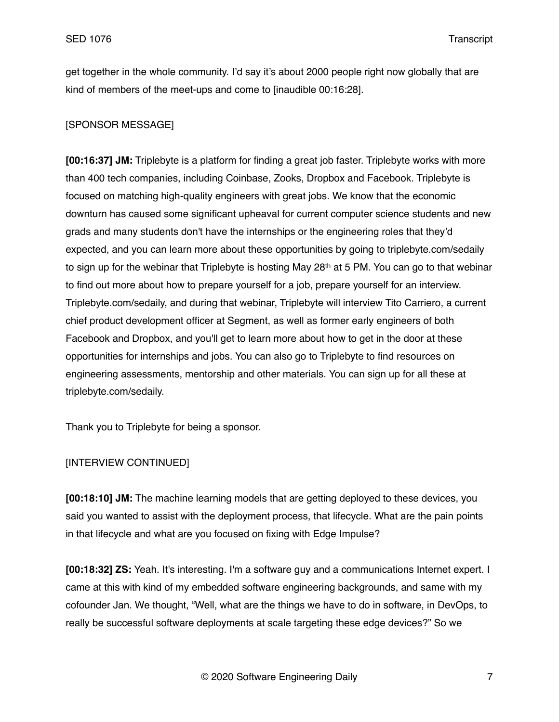get together in the whole community. I'd say it's about 2000 people right now globally that are kind of members of the meet-ups and come to [inaudible 00:16:28].

## [SPONSOR MESSAGE]

**[00:16:37] JM:** Triplebyte is a platform for finding a great job faster. Triplebyte works with more than 400 tech companies, including Coinbase, Zooks, Dropbox and Facebook. Triplebyte is focused on matching high-quality engineers with great jobs. We know that the economic downturn has caused some significant upheaval for current computer science students and new grads and many students don't have the internships or the engineering roles that they'd expected, and you can learn more about these opportunities by going to triplebyte.com/sedaily to sign up for the webinar that Triplebyte is hosting May  $28<sup>th</sup>$  at 5 PM. You can go to that webinar to find out more about how to prepare yourself for a job, prepare yourself for an interview. Triplebyte.com/sedaily, and during that webinar, Triplebyte will interview Tito Carriero, a current chief product development officer at Segment, as well as former early engineers of both Facebook and Dropbox, and you'll get to learn more about how to get in the door at these opportunities for internships and jobs. You can also go to Triplebyte to find resources on engineering assessments, mentorship and other materials. You can sign up for all these at triplebyte.com/sedaily.

Thank you to Triplebyte for being a sponsor.

## [INTERVIEW CONTINUED]

**[00:18:10] JM:** The machine learning models that are getting deployed to these devices, you said you wanted to assist with the deployment process, that lifecycle. What are the pain points in that lifecycle and what are you focused on fixing with Edge Impulse?

**[00:18:32] ZS:** Yeah. It's interesting. I'm a software guy and a communications Internet expert. I came at this with kind of my embedded software engineering backgrounds, and same with my cofounder Jan. We thought, "Well, what are the things we have to do in software, in DevOps, to really be successful software deployments at scale targeting these edge devices?" So we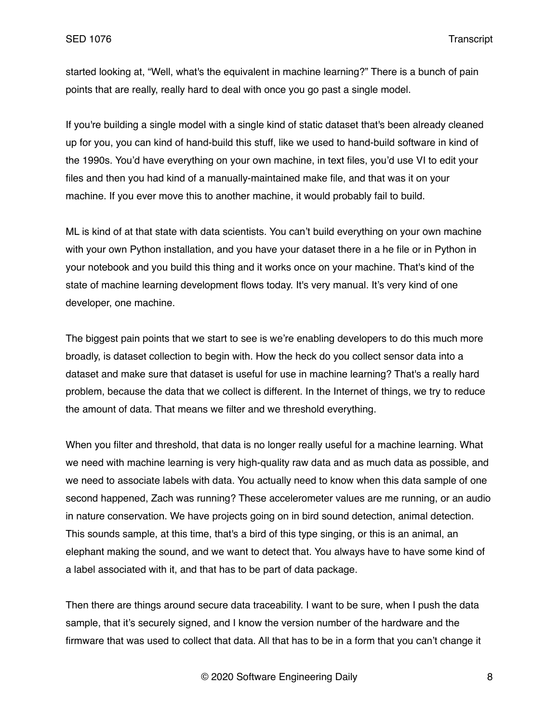started looking at, "Well, what's the equivalent in machine learning?" There is a bunch of pain points that are really, really hard to deal with once you go past a single model.

If you're building a single model with a single kind of static dataset that's been already cleaned up for you, you can kind of hand-build this stuff, like we used to hand-build software in kind of the 1990s. You'd have everything on your own machine, in text files, you'd use VI to edit your files and then you had kind of a manually-maintained make file, and that was it on your machine. If you ever move this to another machine, it would probably fail to build.

ML is kind of at that state with data scientists. You can't build everything on your own machine with your own Python installation, and you have your dataset there in a he file or in Python in your notebook and you build this thing and it works once on your machine. That's kind of the state of machine learning development flows today. It's very manual. It's very kind of one developer, one machine.

The biggest pain points that we start to see is we're enabling developers to do this much more broadly, is dataset collection to begin with. How the heck do you collect sensor data into a dataset and make sure that dataset is useful for use in machine learning? That's a really hard problem, because the data that we collect is different. In the Internet of things, we try to reduce the amount of data. That means we filter and we threshold everything.

When you filter and threshold, that data is no longer really useful for a machine learning. What we need with machine learning is very high-quality raw data and as much data as possible, and we need to associate labels with data. You actually need to know when this data sample of one second happened, Zach was running? These accelerometer values are me running, or an audio in nature conservation. We have projects going on in bird sound detection, animal detection. This sounds sample, at this time, that's a bird of this type singing, or this is an animal, an elephant making the sound, and we want to detect that. You always have to have some kind of a label associated with it, and that has to be part of data package.

Then there are things around secure data traceability. I want to be sure, when I push the data sample, that it's securely signed, and I know the version number of the hardware and the firmware that was used to collect that data. All that has to be in a form that you can't change it

© 2020 Software Engineering Daily 8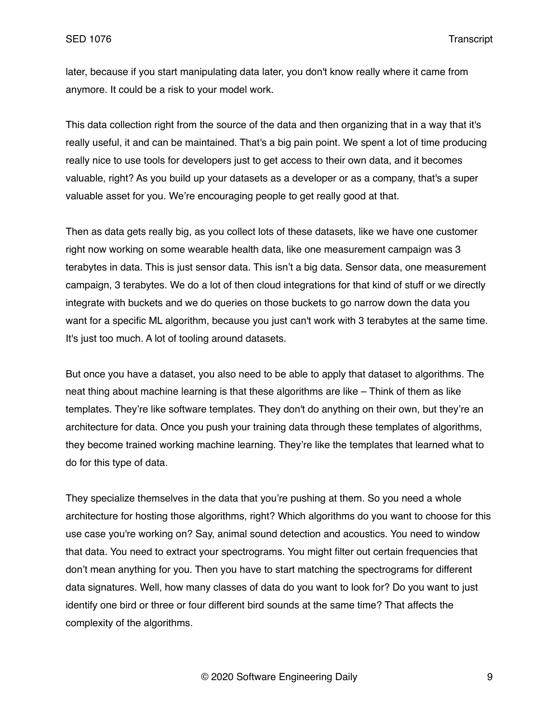later, because if you start manipulating data later, you don't know really where it came from anymore. It could be a risk to your model work.

This data collection right from the source of the data and then organizing that in a way that it's really useful, it and can be maintained. That's a big pain point. We spent a lot of time producing really nice to use tools for developers just to get access to their own data, and it becomes valuable, right? As you build up your datasets as a developer or as a company, that's a super valuable asset for you. We're encouraging people to get really good at that.

Then as data gets really big, as you collect lots of these datasets, like we have one customer right now working on some wearable health data, like one measurement campaign was 3 terabytes in data. This is just sensor data. This isn't a big data. Sensor data, one measurement campaign, 3 terabytes. We do a lot of then cloud integrations for that kind of stuff or we directly integrate with buckets and we do queries on those buckets to go narrow down the data you want for a specific ML algorithm, because you just can't work with 3 terabytes at the same time. It's just too much. A lot of tooling around datasets.

But once you have a dataset, you also need to be able to apply that dataset to algorithms. The neat thing about machine learning is that these algorithms are like – Think of them as like templates. They're like software templates. They don't do anything on their own, but they're an architecture for data. Once you push your training data through these templates of algorithms, they become trained working machine learning. They're like the templates that learned what to do for this type of data.

They specialize themselves in the data that you're pushing at them. So you need a whole architecture for hosting those algorithms, right? Which algorithms do you want to choose for this use case you're working on? Say, animal sound detection and acoustics. You need to window that data. You need to extract your spectrograms. You might filter out certain frequencies that don't mean anything for you. Then you have to start matching the spectrograms for different data signatures. Well, how many classes of data do you want to look for? Do you want to just identify one bird or three or four different bird sounds at the same time? That affects the complexity of the algorithms.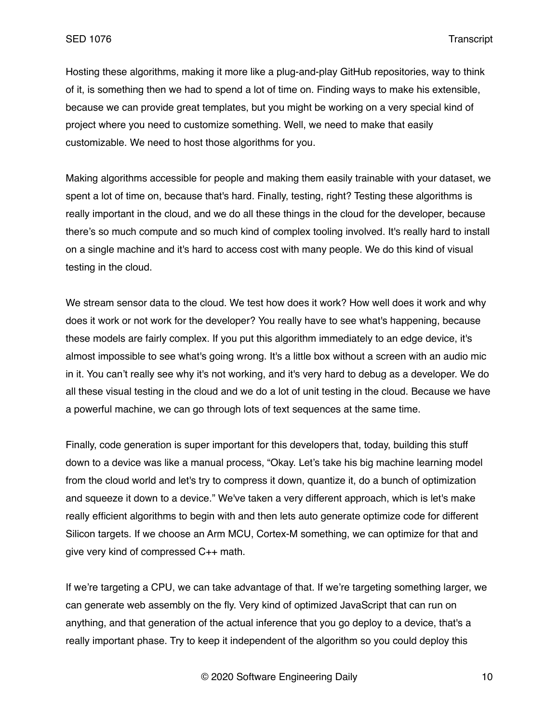Hosting these algorithms, making it more like a plug-and-play GitHub repositories, way to think of it, is something then we had to spend a lot of time on. Finding ways to make his extensible, because we can provide great templates, but you might be working on a very special kind of project where you need to customize something. Well, we need to make that easily customizable. We need to host those algorithms for you.

Making algorithms accessible for people and making them easily trainable with your dataset, we spent a lot of time on, because that's hard. Finally, testing, right? Testing these algorithms is really important in the cloud, and we do all these things in the cloud for the developer, because there's so much compute and so much kind of complex tooling involved. It's really hard to install on a single machine and it's hard to access cost with many people. We do this kind of visual testing in the cloud.

We stream sensor data to the cloud. We test how does it work? How well does it work and why does it work or not work for the developer? You really have to see what's happening, because these models are fairly complex. If you put this algorithm immediately to an edge device, it's almost impossible to see what's going wrong. It's a little box without a screen with an audio mic in it. You can't really see why it's not working, and it's very hard to debug as a developer. We do all these visual testing in the cloud and we do a lot of unit testing in the cloud. Because we have a powerful machine, we can go through lots of text sequences at the same time.

Finally, code generation is super important for this developers that, today, building this stuff down to a device was like a manual process, "Okay. Let's take his big machine learning model from the cloud world and let's try to compress it down, quantize it, do a bunch of optimization and squeeze it down to a device." We've taken a very different approach, which is let's make really efficient algorithms to begin with and then lets auto generate optimize code for different Silicon targets. If we choose an Arm MCU, Cortex-M something, we can optimize for that and give very kind of compressed C++ math.

If we're targeting a CPU, we can take advantage of that. If we're targeting something larger, we can generate web assembly on the fly. Very kind of optimized JavaScript that can run on anything, and that generation of the actual inference that you go deploy to a device, that's a really important phase. Try to keep it independent of the algorithm so you could deploy this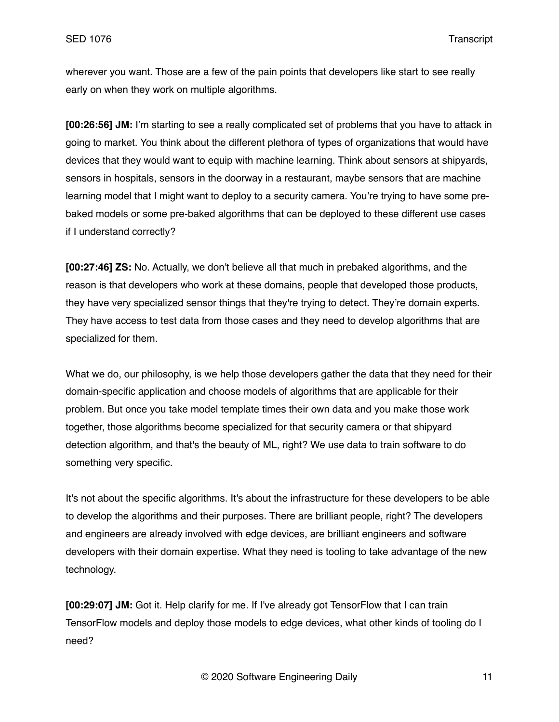wherever you want. Those are a few of the pain points that developers like start to see really early on when they work on multiple algorithms.

**[00:26:56] JM:** I'm starting to see a really complicated set of problems that you have to attack in going to market. You think about the different plethora of types of organizations that would have devices that they would want to equip with machine learning. Think about sensors at shipyards, sensors in hospitals, sensors in the doorway in a restaurant, maybe sensors that are machine learning model that I might want to deploy to a security camera. You're trying to have some prebaked models or some pre-baked algorithms that can be deployed to these different use cases if I understand correctly?

**[00:27:46] ZS:** No. Actually, we don't believe all that much in prebaked algorithms, and the reason is that developers who work at these domains, people that developed those products, they have very specialized sensor things that they're trying to detect. They're domain experts. They have access to test data from those cases and they need to develop algorithms that are specialized for them.

What we do, our philosophy, is we help those developers gather the data that they need for their domain-specific application and choose models of algorithms that are applicable for their problem. But once you take model template times their own data and you make those work together, those algorithms become specialized for that security camera or that shipyard detection algorithm, and that's the beauty of ML, right? We use data to train software to do something very specific.

It's not about the specific algorithms. It's about the infrastructure for these developers to be able to develop the algorithms and their purposes. There are brilliant people, right? The developers and engineers are already involved with edge devices, are brilliant engineers and software developers with their domain expertise. What they need is tooling to take advantage of the new technology.

**[00:29:07] JM:** Got it. Help clarify for me. If I've already got TensorFlow that I can train TensorFlow models and deploy those models to edge devices, what other kinds of tooling do I need?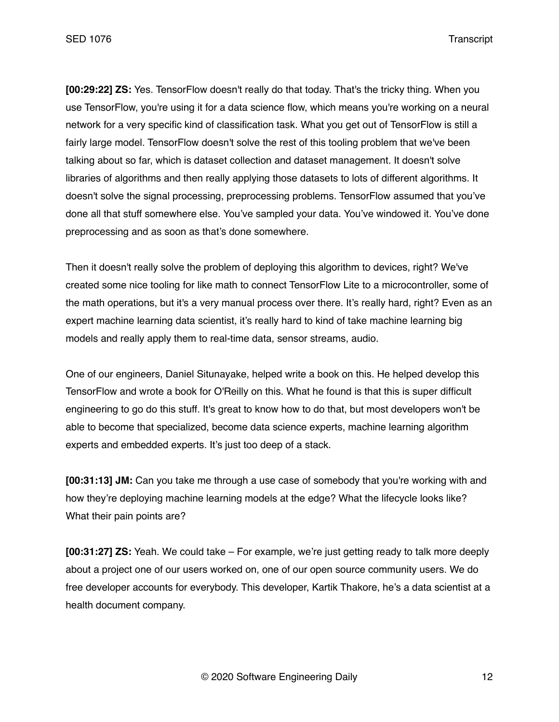**[00:29:22] ZS:** Yes. TensorFlow doesn't really do that today. That's the tricky thing. When you use TensorFlow, you're using it for a data science flow, which means you're working on a neural network for a very specific kind of classification task. What you get out of TensorFlow is still a fairly large model. TensorFlow doesn't solve the rest of this tooling problem that we've been talking about so far, which is dataset collection and dataset management. It doesn't solve libraries of algorithms and then really applying those datasets to lots of different algorithms. It doesn't solve the signal processing, preprocessing problems. TensorFlow assumed that you've done all that stuff somewhere else. You've sampled your data. You've windowed it. You've done preprocessing and as soon as that's done somewhere.

Then it doesn't really solve the problem of deploying this algorithm to devices, right? We've created some nice tooling for like math to connect TensorFlow Lite to a microcontroller, some of the math operations, but it's a very manual process over there. It's really hard, right? Even as an expert machine learning data scientist, it's really hard to kind of take machine learning big models and really apply them to real-time data, sensor streams, audio.

One of our engineers, Daniel Situnayake, helped write a book on this. He helped develop this TensorFlow and wrote a book for O'Reilly on this. What he found is that this is super difficult engineering to go do this stuff. It's great to know how to do that, but most developers won't be able to become that specialized, become data science experts, machine learning algorithm experts and embedded experts. It's just too deep of a stack.

**[00:31:13] JM:** Can you take me through a use case of somebody that you're working with and how they're deploying machine learning models at the edge? What the lifecycle looks like? What their pain points are?

**[00:31:27] ZS:** Yeah. We could take – For example, we're just getting ready to talk more deeply about a project one of our users worked on, one of our open source community users. We do free developer accounts for everybody. This developer, Kartik Thakore, he's a data scientist at a health document company.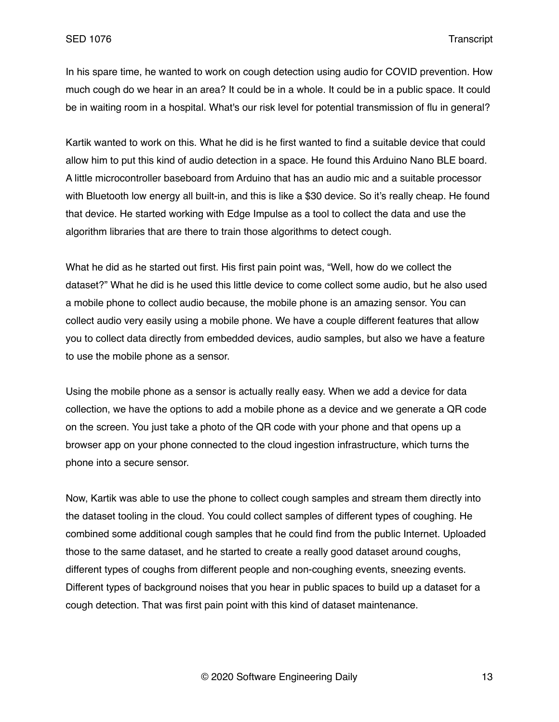In his spare time, he wanted to work on cough detection using audio for COVID prevention. How much cough do we hear in an area? It could be in a whole. It could be in a public space. It could be in waiting room in a hospital. What's our risk level for potential transmission of flu in general?

Kartik wanted to work on this. What he did is he first wanted to find a suitable device that could allow him to put this kind of audio detection in a space. He found this Arduino Nano BLE board. A little microcontroller baseboard from Arduino that has an audio mic and a suitable processor with Bluetooth low energy all built-in, and this is like a \$30 device. So it's really cheap. He found that device. He started working with Edge Impulse as a tool to collect the data and use the algorithm libraries that are there to train those algorithms to detect cough.

What he did as he started out first. His first pain point was, "Well, how do we collect the dataset?" What he did is he used this little device to come collect some audio, but he also used a mobile phone to collect audio because, the mobile phone is an amazing sensor. You can collect audio very easily using a mobile phone. We have a couple different features that allow you to collect data directly from embedded devices, audio samples, but also we have a feature to use the mobile phone as a sensor.

Using the mobile phone as a sensor is actually really easy. When we add a device for data collection, we have the options to add a mobile phone as a device and we generate a QR code on the screen. You just take a photo of the QR code with your phone and that opens up a browser app on your phone connected to the cloud ingestion infrastructure, which turns the phone into a secure sensor.

Now, Kartik was able to use the phone to collect cough samples and stream them directly into the dataset tooling in the cloud. You could collect samples of different types of coughing. He combined some additional cough samples that he could find from the public Internet. Uploaded those to the same dataset, and he started to create a really good dataset around coughs, different types of coughs from different people and non-coughing events, sneezing events. Different types of background noises that you hear in public spaces to build up a dataset for a cough detection. That was first pain point with this kind of dataset maintenance.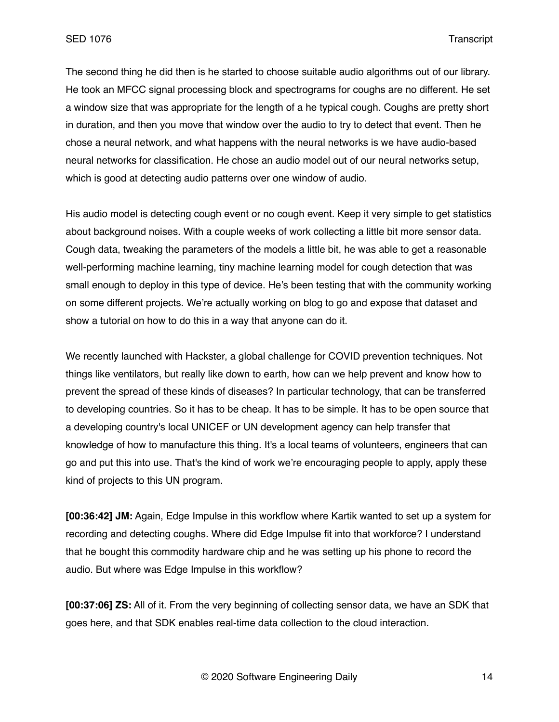The second thing he did then is he started to choose suitable audio algorithms out of our library. He took an MFCC signal processing block and spectrograms for coughs are no different. He set a window size that was appropriate for the length of a he typical cough. Coughs are pretty short in duration, and then you move that window over the audio to try to detect that event. Then he chose a neural network, and what happens with the neural networks is we have audio-based neural networks for classification. He chose an audio model out of our neural networks setup, which is good at detecting audio patterns over one window of audio.

His audio model is detecting cough event or no cough event. Keep it very simple to get statistics about background noises. With a couple weeks of work collecting a little bit more sensor data. Cough data, tweaking the parameters of the models a little bit, he was able to get a reasonable well-performing machine learning, tiny machine learning model for cough detection that was small enough to deploy in this type of device. He's been testing that with the community working on some different projects. We're actually working on blog to go and expose that dataset and show a tutorial on how to do this in a way that anyone can do it.

We recently launched with Hackster, a global challenge for COVID prevention techniques. Not things like ventilators, but really like down to earth, how can we help prevent and know how to prevent the spread of these kinds of diseases? In particular technology, that can be transferred to developing countries. So it has to be cheap. It has to be simple. It has to be open source that a developing country's local UNICEF or UN development agency can help transfer that knowledge of how to manufacture this thing. It's a local teams of volunteers, engineers that can go and put this into use. That's the kind of work we're encouraging people to apply, apply these kind of projects to this UN program.

**[00:36:42] JM:** Again, Edge Impulse in this workflow where Kartik wanted to set up a system for recording and detecting coughs. Where did Edge Impulse fit into that workforce? I understand that he bought this commodity hardware chip and he was setting up his phone to record the audio. But where was Edge Impulse in this workflow?

**[00:37:06] ZS:** All of it. From the very beginning of collecting sensor data, we have an SDK that goes here, and that SDK enables real-time data collection to the cloud interaction.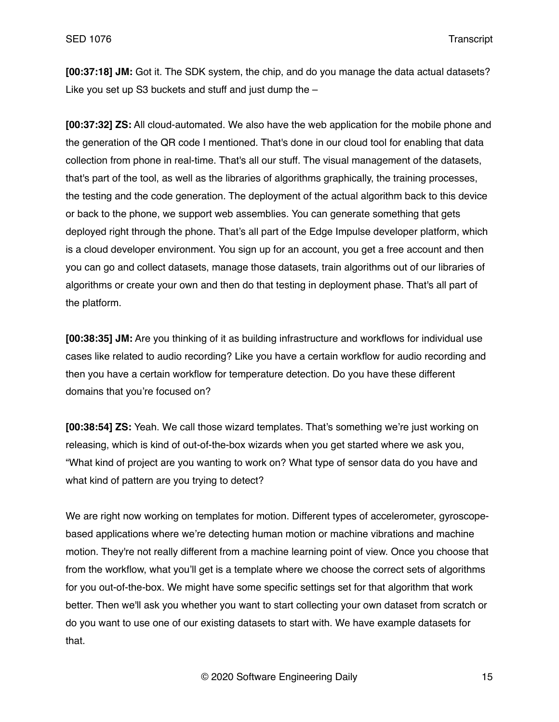**[00:37:18] JM:** Got it. The SDK system, the chip, and do you manage the data actual datasets? Like you set up S3 buckets and stuff and just dump the –

**[00:37:32] ZS:** All cloud-automated. We also have the web application for the mobile phone and the generation of the QR code I mentioned. That's done in our cloud tool for enabling that data collection from phone in real-time. That's all our stuff. The visual management of the datasets, that's part of the tool, as well as the libraries of algorithms graphically, the training processes, the testing and the code generation. The deployment of the actual algorithm back to this device or back to the phone, we support web assemblies. You can generate something that gets deployed right through the phone. That's all part of the Edge Impulse developer platform, which is a cloud developer environment. You sign up for an account, you get a free account and then you can go and collect datasets, manage those datasets, train algorithms out of our libraries of algorithms or create your own and then do that testing in deployment phase. That's all part of the platform.

**[00:38:35] JM:** Are you thinking of it as building infrastructure and workflows for individual use cases like related to audio recording? Like you have a certain workflow for audio recording and then you have a certain workflow for temperature detection. Do you have these different domains that you're focused on?

**[00:38:54] ZS:** Yeah. We call those wizard templates. That's something we're just working on releasing, which is kind of out-of-the-box wizards when you get started where we ask you, "What kind of project are you wanting to work on? What type of sensor data do you have and what kind of pattern are you trying to detect?

We are right now working on templates for motion. Different types of accelerometer, gyroscopebased applications where we're detecting human motion or machine vibrations and machine motion. They're not really different from a machine learning point of view. Once you choose that from the workflow, what you'll get is a template where we choose the correct sets of algorithms for you out-of-the-box. We might have some specific settings set for that algorithm that work better. Then we'll ask you whether you want to start collecting your own dataset from scratch or do you want to use one of our existing datasets to start with. We have example datasets for that.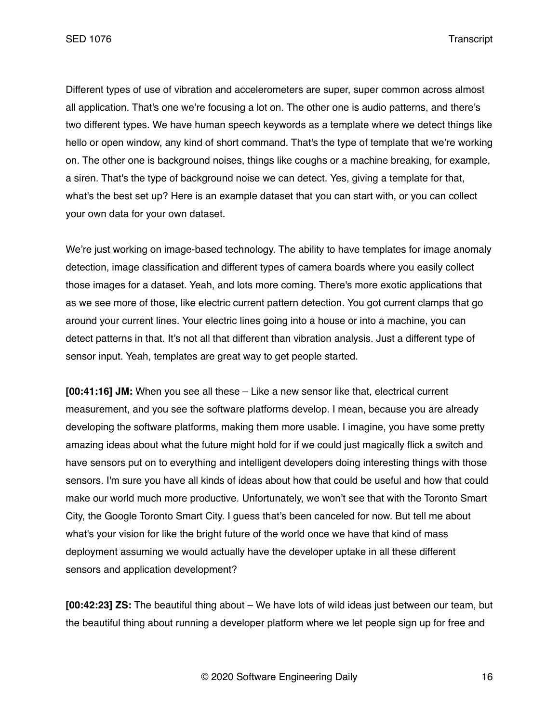SED 1076 Transcript

Different types of use of vibration and accelerometers are super, super common across almost all application. That's one we're focusing a lot on. The other one is audio patterns, and there's two different types. We have human speech keywords as a template where we detect things like hello or open window, any kind of short command. That's the type of template that we're working on. The other one is background noises, things like coughs or a machine breaking, for example, a siren. That's the type of background noise we can detect. Yes, giving a template for that, what's the best set up? Here is an example dataset that you can start with, or you can collect your own data for your own dataset.

We're just working on image-based technology. The ability to have templates for image anomaly detection, image classification and different types of camera boards where you easily collect those images for a dataset. Yeah, and lots more coming. There's more exotic applications that as we see more of those, like electric current pattern detection. You got current clamps that go around your current lines. Your electric lines going into a house or into a machine, you can detect patterns in that. It's not all that different than vibration analysis. Just a different type of sensor input. Yeah, templates are great way to get people started.

**[00:41:16] JM:** When you see all these – Like a new sensor like that, electrical current measurement, and you see the software platforms develop. I mean, because you are already developing the software platforms, making them more usable. I imagine, you have some pretty amazing ideas about what the future might hold for if we could just magically flick a switch and have sensors put on to everything and intelligent developers doing interesting things with those sensors. I'm sure you have all kinds of ideas about how that could be useful and how that could make our world much more productive. Unfortunately, we won't see that with the Toronto Smart City, the Google Toronto Smart City. I guess that's been canceled for now. But tell me about what's your vision for like the bright future of the world once we have that kind of mass deployment assuming we would actually have the developer uptake in all these different sensors and application development?

**[00:42:23] ZS:** The beautiful thing about – We have lots of wild ideas just between our team, but the beautiful thing about running a developer platform where we let people sign up for free and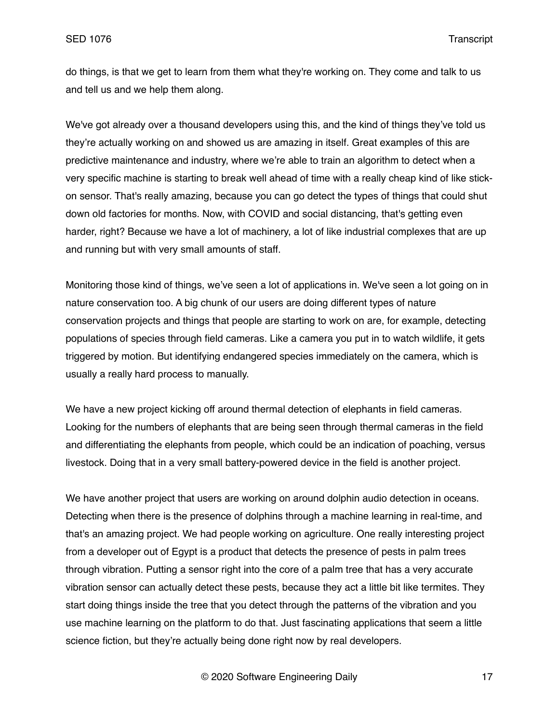do things, is that we get to learn from them what they're working on. They come and talk to us and tell us and we help them along.

We've got already over a thousand developers using this, and the kind of things they've told us they're actually working on and showed us are amazing in itself. Great examples of this are predictive maintenance and industry, where we're able to train an algorithm to detect when a very specific machine is starting to break well ahead of time with a really cheap kind of like stickon sensor. That's really amazing, because you can go detect the types of things that could shut down old factories for months. Now, with COVID and social distancing, that's getting even harder, right? Because we have a lot of machinery, a lot of like industrial complexes that are up and running but with very small amounts of staff.

Monitoring those kind of things, we've seen a lot of applications in. We've seen a lot going on in nature conservation too. A big chunk of our users are doing different types of nature conservation projects and things that people are starting to work on are, for example, detecting populations of species through field cameras. Like a camera you put in to watch wildlife, it gets triggered by motion. But identifying endangered species immediately on the camera, which is usually a really hard process to manually.

We have a new project kicking off around thermal detection of elephants in field cameras. Looking for the numbers of elephants that are being seen through thermal cameras in the field and differentiating the elephants from people, which could be an indication of poaching, versus livestock. Doing that in a very small battery-powered device in the field is another project.

We have another project that users are working on around dolphin audio detection in oceans. Detecting when there is the presence of dolphins through a machine learning in real-time, and that's an amazing project. We had people working on agriculture. One really interesting project from a developer out of Egypt is a product that detects the presence of pests in palm trees through vibration. Putting a sensor right into the core of a palm tree that has a very accurate vibration sensor can actually detect these pests, because they act a little bit like termites. They start doing things inside the tree that you detect through the patterns of the vibration and you use machine learning on the platform to do that. Just fascinating applications that seem a little science fiction, but they're actually being done right now by real developers.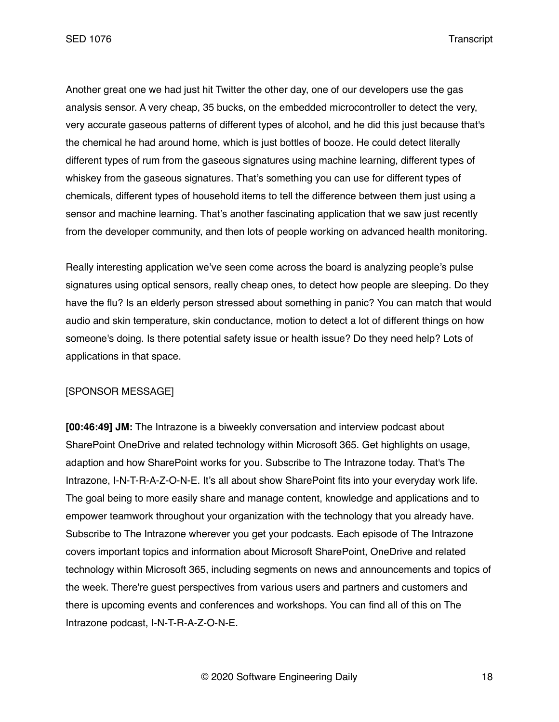Another great one we had just hit Twitter the other day, one of our developers use the gas analysis sensor. A very cheap, 35 bucks, on the embedded microcontroller to detect the very, very accurate gaseous patterns of different types of alcohol, and he did this just because that's the chemical he had around home, which is just bottles of booze. He could detect literally different types of rum from the gaseous signatures using machine learning, different types of whiskey from the gaseous signatures. That's something you can use for different types of chemicals, different types of household items to tell the difference between them just using a sensor and machine learning. That's another fascinating application that we saw just recently from the developer community, and then lots of people working on advanced health monitoring.

Really interesting application we've seen come across the board is analyzing people's pulse signatures using optical sensors, really cheap ones, to detect how people are sleeping. Do they have the flu? Is an elderly person stressed about something in panic? You can match that would audio and skin temperature, skin conductance, motion to detect a lot of different things on how someone's doing. Is there potential safety issue or health issue? Do they need help? Lots of applications in that space.

#### [SPONSOR MESSAGE]

**[00:46:49] JM:** The Intrazone is a biweekly conversation and interview podcast about SharePoint OneDrive and related technology within Microsoft 365. Get highlights on usage, adaption and how SharePoint works for you. Subscribe to The Intrazone today. That's The Intrazone, I-N-T-R-A-Z-O-N-E. It's all about show SharePoint fits into your everyday work life. The goal being to more easily share and manage content, knowledge and applications and to empower teamwork throughout your organization with the technology that you already have. Subscribe to The Intrazone wherever you get your podcasts. Each episode of The Intrazone covers important topics and information about Microsoft SharePoint, OneDrive and related technology within Microsoft 365, including segments on news and announcements and topics of the week. There're guest perspectives from various users and partners and customers and there is upcoming events and conferences and workshops. You can find all of this on The Intrazone podcast, I-N-T-R-A-Z-O-N-E.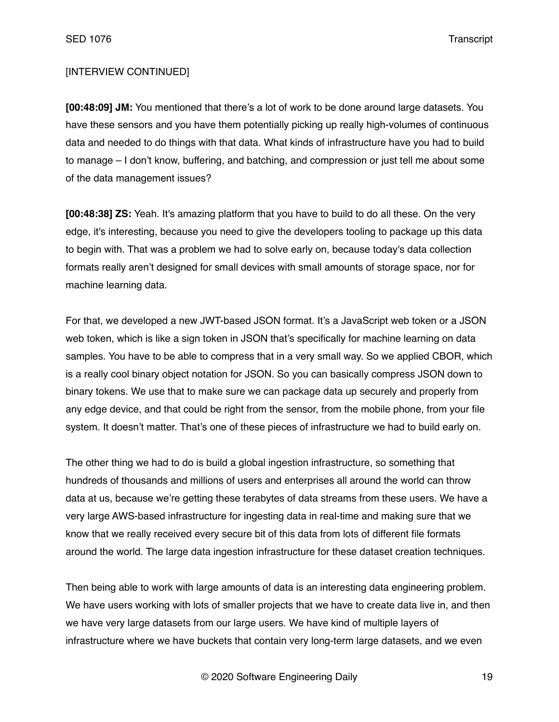# [INTERVIEW CONTINUED]

**[00:48:09] JM:** You mentioned that there's a lot of work to be done around large datasets. You have these sensors and you have them potentially picking up really high-volumes of continuous data and needed to do things with that data. What kinds of infrastructure have you had to build to manage – I don't know, buffering, and batching, and compression or just tell me about some of the data management issues?

**[00:48:38] ZS:** Yeah. It's amazing platform that you have to build to do all these. On the very edge, it's interesting, because you need to give the developers tooling to package up this data to begin with. That was a problem we had to solve early on, because today's data collection formats really aren't designed for small devices with small amounts of storage space, nor for machine learning data.

For that, we developed a new JWT-based JSON format. It's a JavaScript web token or a JSON web token, which is like a sign token in JSON that's specifically for machine learning on data samples. You have to be able to compress that in a very small way. So we applied CBOR, which is a really cool binary object notation for JSON. So you can basically compress JSON down to binary tokens. We use that to make sure we can package data up securely and properly from any edge device, and that could be right from the sensor, from the mobile phone, from your file system. It doesn't matter. That's one of these pieces of infrastructure we had to build early on.

The other thing we had to do is build a global ingestion infrastructure, so something that hundreds of thousands and millions of users and enterprises all around the world can throw data at us, because we're getting these terabytes of data streams from these users. We have a very large AWS-based infrastructure for ingesting data in real-time and making sure that we know that we really received every secure bit of this data from lots of different file formats around the world. The large data ingestion infrastructure for these dataset creation techniques.

Then being able to work with large amounts of data is an interesting data engineering problem. We have users working with lots of smaller projects that we have to create data live in, and then we have very large datasets from our large users. We have kind of multiple layers of infrastructure where we have buckets that contain very long-term large datasets, and we even

© 2020 Software Engineering Daily 19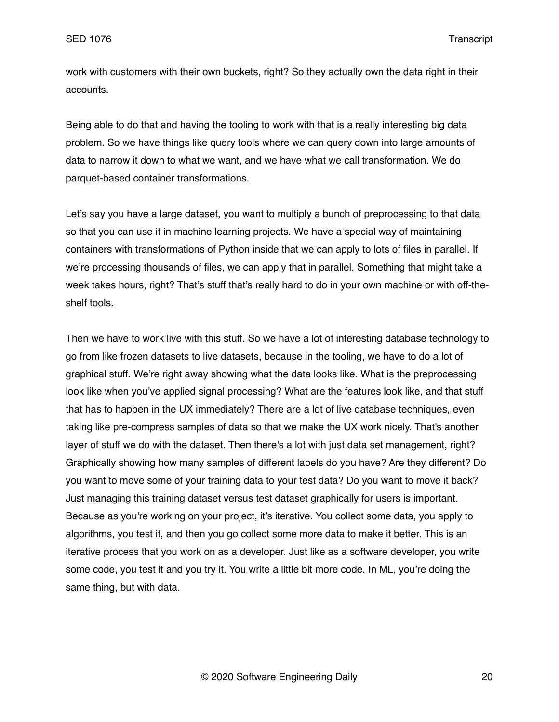work with customers with their own buckets, right? So they actually own the data right in their accounts.

Being able to do that and having the tooling to work with that is a really interesting big data problem. So we have things like query tools where we can query down into large amounts of data to narrow it down to what we want, and we have what we call transformation. We do parquet-based container transformations.

Let's say you have a large dataset, you want to multiply a bunch of preprocessing to that data so that you can use it in machine learning projects. We have a special way of maintaining containers with transformations of Python inside that we can apply to lots of files in parallel. If we're processing thousands of files, we can apply that in parallel. Something that might take a week takes hours, right? That's stuff that's really hard to do in your own machine or with off-theshelf tools.

Then we have to work live with this stuff. So we have a lot of interesting database technology to go from like frozen datasets to live datasets, because in the tooling, we have to do a lot of graphical stuff. We're right away showing what the data looks like. What is the preprocessing look like when you've applied signal processing? What are the features look like, and that stuff that has to happen in the UX immediately? There are a lot of live database techniques, even taking like pre-compress samples of data so that we make the UX work nicely. That's another layer of stuff we do with the dataset. Then there's a lot with just data set management, right? Graphically showing how many samples of different labels do you have? Are they different? Do you want to move some of your training data to your test data? Do you want to move it back? Just managing this training dataset versus test dataset graphically for users is important. Because as you're working on your project, it's iterative. You collect some data, you apply to algorithms, you test it, and then you go collect some more data to make it better. This is an iterative process that you work on as a developer. Just like as a software developer, you write some code, you test it and you try it. You write a little bit more code. In ML, you're doing the same thing, but with data.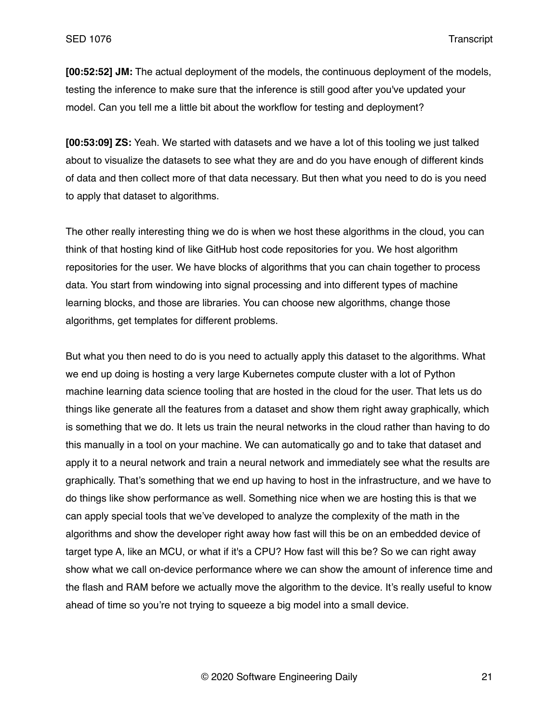**[00:52:52] JM:** The actual deployment of the models, the continuous deployment of the models, testing the inference to make sure that the inference is still good after you've updated your model. Can you tell me a little bit about the workflow for testing and deployment?

**[00:53:09] ZS:** Yeah. We started with datasets and we have a lot of this tooling we just talked about to visualize the datasets to see what they are and do you have enough of different kinds of data and then collect more of that data necessary. But then what you need to do is you need to apply that dataset to algorithms.

The other really interesting thing we do is when we host these algorithms in the cloud, you can think of that hosting kind of like GitHub host code repositories for you. We host algorithm repositories for the user. We have blocks of algorithms that you can chain together to process data. You start from windowing into signal processing and into different types of machine learning blocks, and those are libraries. You can choose new algorithms, change those algorithms, get templates for different problems.

But what you then need to do is you need to actually apply this dataset to the algorithms. What we end up doing is hosting a very large Kubernetes compute cluster with a lot of Python machine learning data science tooling that are hosted in the cloud for the user. That lets us do things like generate all the features from a dataset and show them right away graphically, which is something that we do. It lets us train the neural networks in the cloud rather than having to do this manually in a tool on your machine. We can automatically go and to take that dataset and apply it to a neural network and train a neural network and immediately see what the results are graphically. That's something that we end up having to host in the infrastructure, and we have to do things like show performance as well. Something nice when we are hosting this is that we can apply special tools that we've developed to analyze the complexity of the math in the algorithms and show the developer right away how fast will this be on an embedded device of target type A, like an MCU, or what if it's a CPU? How fast will this be? So we can right away show what we call on-device performance where we can show the amount of inference time and the flash and RAM before we actually move the algorithm to the device. It's really useful to know ahead of time so you're not trying to squeeze a big model into a small device.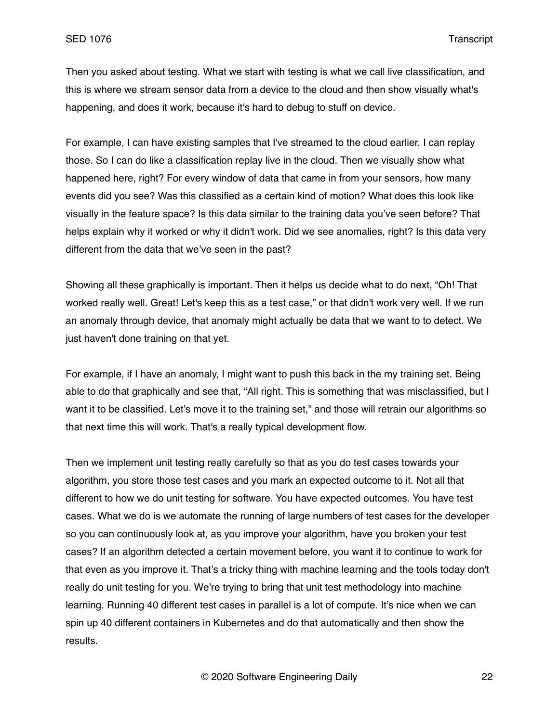Then you asked about testing. What we start with testing is what we call live classification, and this is where we stream sensor data from a device to the cloud and then show visually what's happening, and does it work, because it's hard to debug to stuff on device.

For example, I can have existing samples that I've streamed to the cloud earlier. I can replay those. So I can do like a classification replay live in the cloud. Then we visually show what happened here, right? For every window of data that came in from your sensors, how many events did you see? Was this classified as a certain kind of motion? What does this look like visually in the feature space? Is this data similar to the training data you've seen before? That helps explain why it worked or why it didn't work. Did we see anomalies, right? Is this data very different from the data that we've seen in the past?

Showing all these graphically is important. Then it helps us decide what to do next, "Oh! That worked really well. Great! Let's keep this as a test case," or that didn't work very well. If we run an anomaly through device, that anomaly might actually be data that we want to to detect. We just haven't done training on that yet.

For example, if I have an anomaly, I might want to push this back in the my training set. Being able to do that graphically and see that, "All right. This is something that was misclassified, but I want it to be classified. Let's move it to the training set," and those will retrain our algorithms so that next time this will work. That's a really typical development flow.

Then we implement unit testing really carefully so that as you do test cases towards your algorithm, you store those test cases and you mark an expected outcome to it. Not all that different to how we do unit testing for software. You have expected outcomes. You have test cases. What we do is we automate the running of large numbers of test cases for the developer so you can continuously look at, as you improve your algorithm, have you broken your test cases? If an algorithm detected a certain movement before, you want it to continue to work for that even as you improve it. That's a tricky thing with machine learning and the tools today don't really do unit testing for you. We're trying to bring that unit test methodology into machine learning. Running 40 different test cases in parallel is a lot of compute. It's nice when we can spin up 40 different containers in Kubernetes and do that automatically and then show the results.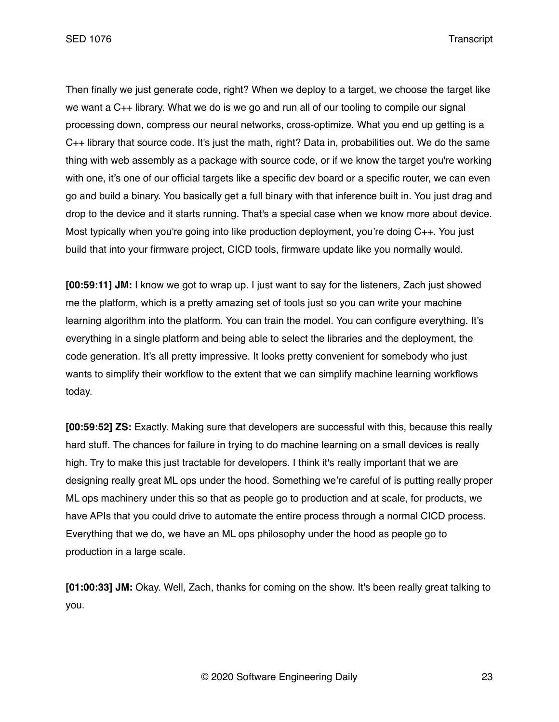Then finally we just generate code, right? When we deploy to a target, we choose the target like we want a C++ library. What we do is we go and run all of our tooling to compile our signal processing down, compress our neural networks, cross-optimize. What you end up getting is a C++ library that source code. It's just the math, right? Data in, probabilities out. We do the same thing with web assembly as a package with source code, or if we know the target you're working with one, it's one of our official targets like a specific dev board or a specific router, we can even go and build a binary. You basically get a full binary with that inference built in. You just drag and drop to the device and it starts running. That's a special case when we know more about device. Most typically when you're going into like production deployment, you're doing C++. You just build that into your firmware project, CICD tools, firmware update like you normally would.

**[00:59:11] JM:** I know we got to wrap up. I just want to say for the listeners, Zach just showed me the platform, which is a pretty amazing set of tools just so you can write your machine learning algorithm into the platform. You can train the model. You can configure everything. It's everything in a single platform and being able to select the libraries and the deployment, the code generation. It's all pretty impressive. It looks pretty convenient for somebody who just wants to simplify their workflow to the extent that we can simplify machine learning workflows today.

**[00:59:52] ZS:** Exactly. Making sure that developers are successful with this, because this really hard stuff. The chances for failure in trying to do machine learning on a small devices is really high. Try to make this just tractable for developers. I think it's really important that we are designing really great ML ops under the hood. Something we're careful of is putting really proper ML ops machinery under this so that as people go to production and at scale, for products, we have APIs that you could drive to automate the entire process through a normal CICD process. Everything that we do, we have an ML ops philosophy under the hood as people go to production in a large scale.

**[01:00:33] JM:** Okay. Well, Zach, thanks for coming on the show. It's been really great talking to you.